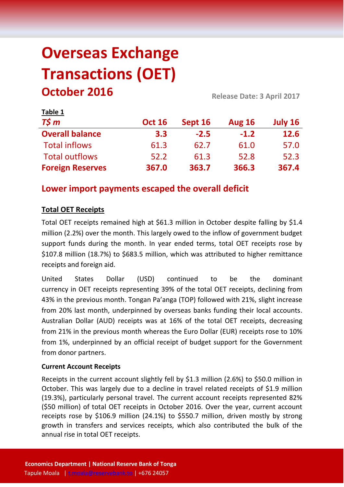# **Overseas Exchange Transactions (OET) October 2016 Release Date: 3 April <sup>2017</sup>**

| <b>Lanic T</b>          |               |         |               |         |
|-------------------------|---------------|---------|---------------|---------|
| $T\frac{2}{3}m$         | <b>Oct 16</b> | Sept 16 | <b>Aug 16</b> | July 16 |
| <b>Overall balance</b>  | 3.3           | $-2.5$  | $-1.2$        | 12.6    |
| <b>Total inflows</b>    | 61.3          | 62.7    | 61.0          | 57.0    |
| <b>Total outflows</b>   | 52.2          | 61.3    | 52.8          | 52.3    |
| <b>Foreign Reserves</b> | 367.0         | 363.7   | 366.3         | 367.4   |

## **Lower import payments escaped the overall deficit**

## **Total OET Receipts**

**Table 1**

Total OET receipts remained high at \$61.3 million in October despite falling by \$1.4 million (2.2%) over the month. This largely owed to the inflow of government budget support funds during the month. In year ended terms, total OET receipts rose by \$107.8 million (18.7%) to \$683.5 million, which was attributed to higher remittance receipts and foreign aid.

United States Dollar (USD) continued to be the dominant currency in OET receipts representing 39% of the total OET receipts, declining from 43% in the previous month. Tongan Pa'anga (TOP) followed with 21%, slight increase from 20% last month, underpinned by overseas banks funding their local accounts. Australian Dollar (AUD) receipts was at 16% of the total OET receipts, decreasing from 21% in the previous month whereas the Euro Dollar (EUR) receipts rose to 10% from 1%, underpinned by an official receipt of budget support for the Government from donor partners.

#### **Current Account Receipts**

Receipts in the current account slightly fell by \$1.3 million (2.6%) to \$50.0 million in October. This was largely due to a decline in travel related receipts of \$1.9 million (19.3%), particularly personal travel. The current account receipts represented 82% (\$50 million) of total OET receipts in October 2016. Over the year, current account receipts rose by \$106.9 million (24.1%) to \$550.7 million, driven mostly by strong growth in transfers and services receipts, which also contributed the bulk of the annual rise in total OET receipts.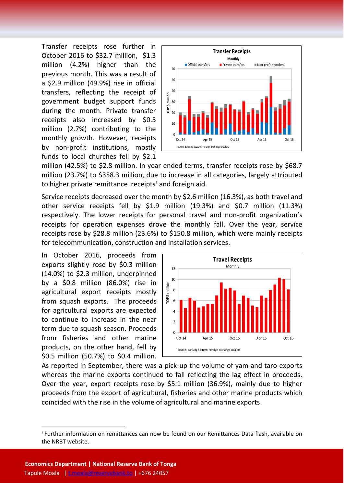Transfer receipts rose further in October 2016 to \$32.7 million, \$1.3 million (4.2%) higher than the previous month. This was a result of a \$2.9 million (49.9%) rise in official transfers, reflecting the receipt of government budget support funds during the month. Private transfer receipts also increased by \$0.5 million (2.7%) contributing to the monthly growth. However, receipts by non-profit institutions, mostly funds to local churches fell by \$2.1



million (42.5%) to \$2.8 million. In year ended terms, transfer receipts rose by \$68.7 million (23.7%) to \$358.3 million, due to increase in all categories, largely attributed to higher private remittance receipts<sup>1</sup> and foreign aid.

Service receipts decreased over the month by \$2.6 million (16.3%), as both travel and other service receipts fell by \$1.9 million (19.3%) and \$0.7 million (11.3%) respectively. The lower receipts for personal travel and non-profit organization's receipts for operation expenses drove the monthly fall. Over the year, service receipts rose by \$28.8 million (23.6%) to \$150.8 million, which were mainly receipts for telecommunication, construction and installation services.

In October 2016, proceeds from exports slightly rose by \$0.3 million (14.0%) to \$2.3 million, underpinned by a \$0.8 million (86.0%) rise in agricultural export receipts mostly from squash exports. The proceeds for agricultural exports are expected to continue to increase in the near term due to squash season. Proceeds from fisheries and other marine products, on the other hand, fell by \$0.5 million (50.7%) to \$0.4 million.



As reported in September, there was a pick-up the volume of yam and taro exports whereas the marine exports continued to fall reflecting the lag effect in proceeds. Over the year, export receipts rose by \$5.1 million (36.9%), mainly due to higher proceeds from the export of agricultural, fisheries and other marine products which coincided with the rise in the volume of agricultural and marine exports.

**.** 

<sup>1</sup> Further information on remittances can now be found on our Remittances Data flash, available on the NRBT website.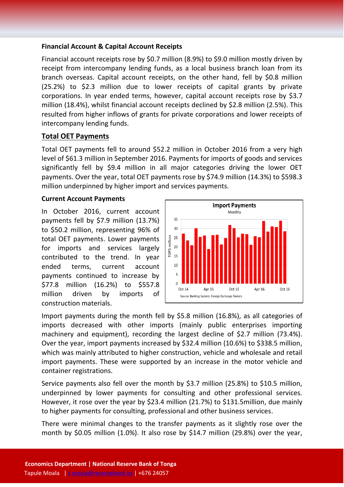#### **Financial Account & Capital Account Receipts**

Financial account receipts rose by \$0.7 million (8.9%) to \$9.0 million mostly driven by receipt from intercompany lending funds, as a local business branch loan from its branch overseas. Capital account receipts, on the other hand, fell by \$0.8 million (25.2%) to \$2.3 million due to lower receipts of capital grants by private corporations. In year ended terms, however, capital account receipts rose by \$3.7 million (18.4%), whilst financial account receipts declined by \$2.8 million (2.5%). This resulted from higher inflows of grants for private corporations and lower receipts of intercompany lending funds.

### **Total OET Payments**

Total OET payments fell to around \$52.2 million in October 2016 from a very high level of \$61.3 million in September 2016. Payments for imports of goods and services significantly fell by \$9.4 million in all major categories driving the lower OET payments. Over the year, total OET payments rose by \$74.9 million (14.3%) to \$598.3 million underpinned by higher import and services payments.

#### **Current Account Payments**

In October 2016, current account payments fell by \$7.9 million (13.7%) to \$50.2 million, representing 96% of total OET payments. Lower payments for imports and services largely contributed to the trend. In year ended terms, current account payments continued to increase by \$77.8 million (16.2%) to \$557.8 million driven by imports of construction materials.



Import payments during the month fell by \$5.8 million (16.8%), as all categories of imports decreased with other imports (mainly public enterprises importing machinery and equipment), recording the largest decline of \$2.7 million (73.4%). Over the year, import payments increased by \$32.4 million (10.6%) to \$338.5 million, which was mainly attributed to higher construction, vehicle and wholesale and retail import payments. These were supported by an increase in the motor vehicle and container registrations.

Service payments also fell over the month by \$3.7 million (25.8%) to \$10.5 million, underpinned by lower payments for consulting and other professional services. However, it rose over the year by \$23.4 million (21.7%) to \$131.5million, due mainly to higher payments for consulting, professional and other business services.

There were minimal changes to the transfer payments as it slightly rose over the month by \$0.05 million (1.0%). It also rose by \$14.7 million (29.8%) over the year,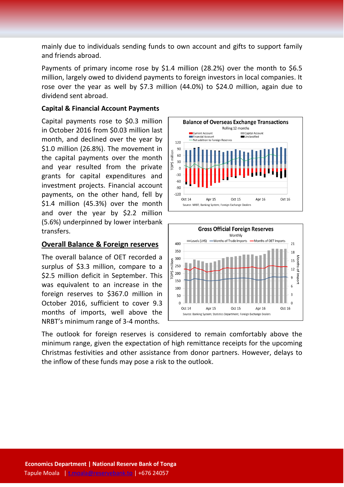mainly due to individuals sending funds to own account and gifts to support family and friends abroad.

Payments of primary income rose by \$1.4 million (28.2%) over the month to \$6.5 million, largely owed to dividend payments to foreign investors in local companies. It rose over the year as well by \$7.3 million (44.0%) to \$24.0 million, again due to dividend sent abroad.

#### **Capital & Financial Account Payments**

Capital payments rose to \$0.3 million in October 2016 from \$0.03 million last month, and declined over the year by \$1.0 million (26.8%). The movement in the capital payments over the month and year resulted from the private grants for capital expenditures and investment projects. Financial account payments, on the other hand, fell by \$1.4 million (45.3%) over the month and over the year by \$2.2 million (5.6%) underpinned by lower interbank transfers.

#### **Overall Balance & Foreign reserves**

The overall balance of OET recorded a surplus of \$3.3 million, compare to a \$2.5 million deficit in September. This was equivalent to an increase in the foreign reserves to \$367.0 million in October 2016, sufficient to cover 9.3 months of imports, well above the NRBT's minimum range of 3-4 months.





The outlook for foreign reserves is considered to remain comfortably above the minimum range, given the expectation of high remittance receipts for the upcoming Christmas festivities and other assistance from donor partners. However, delays to the inflow of these funds may pose a risk to the outlook.